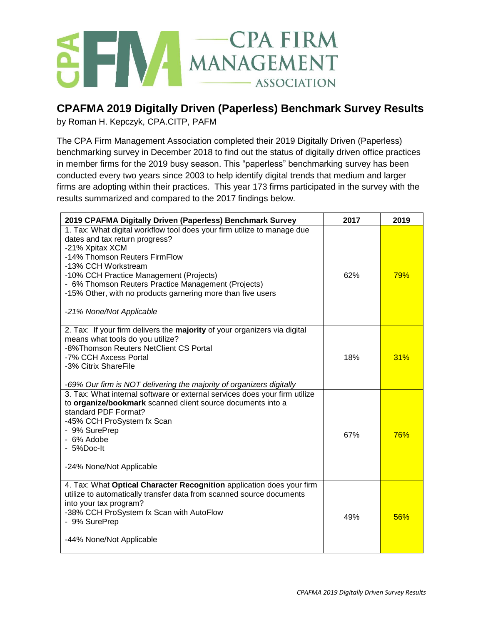## SEN MANAGEMENT - ASSOCIATION

## **CPAFMA 2019 Digitally Driven (Paperless) Benchmark Survey Results**

by Roman H. Kepczyk, CPA.CITP, PAFM

The CPA Firm Management Association completed their 2019 Digitally Driven (Paperless) benchmarking survey in December 2018 to find out the status of digitally driven office practices in member firms for the 2019 busy season. This "paperless" benchmarking survey has been conducted every two years since 2003 to help identify digital trends that medium and larger firms are adopting within their practices. This year 173 firms participated in the survey with the results summarized and compared to the 2017 findings below.

| 2019 CPAFMA Digitally Driven (Paperless) Benchmark Survey                                                                                                                                                                                                                                                                                                                         | 2017 | 2019       |
|-----------------------------------------------------------------------------------------------------------------------------------------------------------------------------------------------------------------------------------------------------------------------------------------------------------------------------------------------------------------------------------|------|------------|
| 1. Tax: What digital workflow tool does your firm utilize to manage due<br>dates and tax return progress?<br>-21% Xpitax XCM<br>-14% Thomson Reuters FirmFlow<br>-13% CCH Workstream<br>-10% CCH Practice Management (Projects)<br>- 6% Thomson Reuters Practice Management (Projects)<br>-15% Other, with no products garnering more than five users<br>-21% None/Not Applicable | 62%  | <b>79%</b> |
| 2. Tax: If your firm delivers the majority of your organizers via digital<br>means what tools do you utilize?<br>-8%Thomson Reuters NetClient CS Portal<br>-7% CCH Axcess Portal<br>-3% Citrix ShareFile<br>-69% Our firm is NOT delivering the majority of organizers digitally                                                                                                  | 18%  | 31%        |
| 3. Tax: What internal software or external services does your firm utilize<br>to organize/bookmark scanned client source documents into a<br>standard PDF Format?<br>-45% CCH ProSystem fx Scan<br>- 9% SurePrep<br>- 6% Adobe<br>- 5%Doc-It<br>-24% None/Not Applicable                                                                                                          | 67%  | 76%        |
| 4. Tax: What Optical Character Recognition application does your firm<br>utilize to automatically transfer data from scanned source documents<br>into your tax program?<br>-38% CCH ProSystem fx Scan with AutoFlow<br>- 9% SurePrep<br>-44% None/Not Applicable                                                                                                                  | 49%  | 56%        |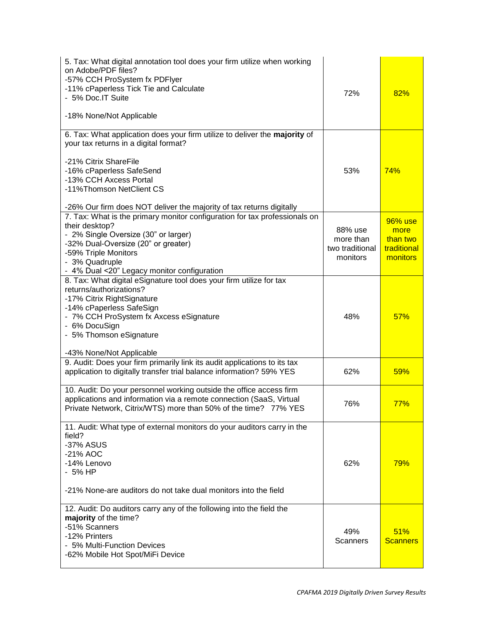| 5. Tax: What digital annotation tool does your firm utilize when working<br>on Adobe/PDF files?<br>-57% CCH ProSystem fx PDFlyer<br>-11% cPaperless Tick Tie and Calculate<br>- 5% Doc.IT Suite<br>-18% None/Not Applicable                                                                              | 72%                                                 | 82%                                                    |
|----------------------------------------------------------------------------------------------------------------------------------------------------------------------------------------------------------------------------------------------------------------------------------------------------------|-----------------------------------------------------|--------------------------------------------------------|
| 6. Tax: What application does your firm utilize to deliver the majority of<br>your tax returns in a digital format?<br>-21% Citrix ShareFile<br>-16% cPaperless SafeSend<br>-13% CCH Axcess Portal<br>-11% Thomson Net Client CS<br>-26% Our firm does NOT deliver the majority of tax returns digitally | 53%                                                 | 74%                                                    |
| 7. Tax: What is the primary monitor configuration for tax professionals on<br>their desktop?<br>- 2% Single Oversize (30" or larger)<br>-32% Dual-Oversize (20" or greater)<br>-59% Triple Monitors<br>- 3% Quadruple<br>- 4% Dual <20" Legacy monitor configuration                                     | 88% use<br>more than<br>two traditional<br>monitors | 96% use<br>more<br>than two<br>traditional<br>monitors |
| 8. Tax: What digital eSignature tool does your firm utilize for tax<br>returns/authorizations?<br>-17% Citrix RightSignature<br>-14% cPaperless SafeSign<br>- 7% CCH ProSystem fx Axcess eSignature<br>- 6% DocuSign<br>- 5% Thomson eSignature<br>-43% None/Not Applicable                              | 48%                                                 | 57%                                                    |
| 9. Audit: Does your firm primarily link its audit applications to its tax<br>application to digitally transfer trial balance information? 59% YES                                                                                                                                                        | 62%                                                 | 59%                                                    |
| 10. Audit: Do your personnel working outside the office access firm<br>applications and information via a remote connection (SaaS, Virtual<br>Private Network, Citrix/WTS) more than 50% of the time? 77% YES                                                                                            | 76%                                                 | 77%                                                    |
| 11. Audit: What type of external monitors do your auditors carry in the<br>field?<br>-37% ASUS<br>-21% AOC<br>-14% Lenovo<br>- 5% HP<br>-21% None-are auditors do not take dual monitors into the field                                                                                                  | 62%                                                 | 79%                                                    |
| 12. Audit: Do auditors carry any of the following into the field the<br>majority of the time?<br>-51% Scanners<br>-12% Printers<br>- 5% Multi-Function Devices<br>-62% Mobile Hot Spot/MiFi Device                                                                                                       | 49%<br>Scanners                                     | 51%<br><b>Scanners</b>                                 |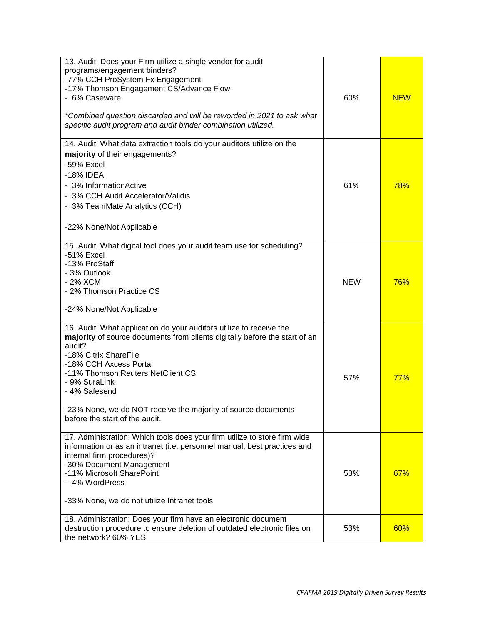| 13. Audit: Does your Firm utilize a single vendor for audit<br>programs/engagement binders?<br>-77% CCH ProSystem Fx Engagement<br>-17% Thomson Engagement CS/Advance Flow<br>- 6% Caseware<br>*Combined question discarded and will be reworded in 2021 to ask what<br>specific audit program and audit binder combination utilized.                                                   | 60%        | <b>NEW</b> |
|-----------------------------------------------------------------------------------------------------------------------------------------------------------------------------------------------------------------------------------------------------------------------------------------------------------------------------------------------------------------------------------------|------------|------------|
| 14. Audit: What data extraction tools do your auditors utilize on the<br>majority of their engagements?<br>-59% Excel                                                                                                                                                                                                                                                                   |            |            |
| -18% IDEA<br>- 3% Information Active<br>- 3% CCH Audit Accelerator/Validis<br>- 3% TeamMate Analytics (CCH)                                                                                                                                                                                                                                                                             | 61%        | <b>78%</b> |
| -22% None/Not Applicable                                                                                                                                                                                                                                                                                                                                                                |            |            |
| 15. Audit: What digital tool does your audit team use for scheduling?<br>-51% Excel<br>-13% ProStaff<br>- 3% Outlook<br>- 2% XCM<br>- 2% Thomson Practice CS<br>-24% None/Not Applicable                                                                                                                                                                                                | <b>NEW</b> | 76%        |
| 16. Audit: What application do your auditors utilize to receive the<br>majority of source documents from clients digitally before the start of an<br>audit?<br>-18% Citrix ShareFile<br>-18% CCH Axcess Portal<br>-11% Thomson Reuters NetClient CS<br>- 9% SuraLink<br>- 4% Safesend<br>23% None, we do NOT receive the majority of source documents<br>before the start of the audit. | 57%        | 77%        |
| 17. Administration: Which tools does your firm utilize to store firm wide<br>information or as an intranet (i.e. personnel manual, best practices and<br>internal firm procedures)?<br>-30% Document Management<br>-11% Microsoft SharePoint<br>- 4% WordPress<br>-33% None, we do not utilize Intranet tools                                                                           | 53%        | 67%        |
| 18. Administration: Does your firm have an electronic document<br>destruction procedure to ensure deletion of outdated electronic files on<br>the network? 60% YES                                                                                                                                                                                                                      | 53%        | 60%        |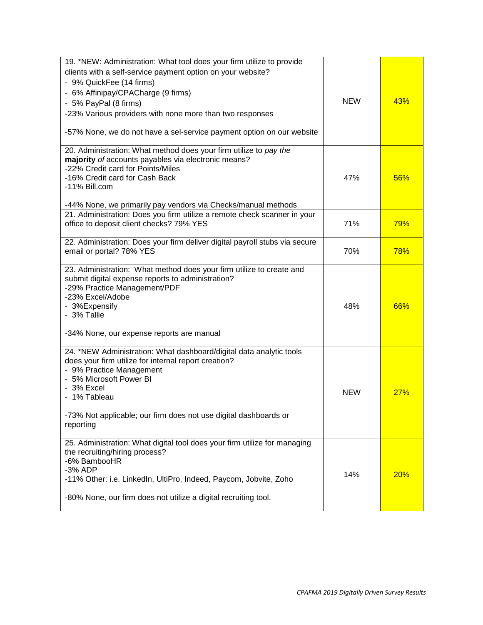| 19. *NEW: Administration: What tool does your firm utilize to provide<br>clients with a self-service payment option on your website?<br>- 9% QuickFee (14 firms)<br>- 6% Affinipay/CPACharge (9 firms)<br>- 5% PayPal (8 firms)<br>-23% Various providers with none more than two responses<br>-57% None, we do not have a sel-service payment option on our website | <b>NEW</b> | 43%        |
|----------------------------------------------------------------------------------------------------------------------------------------------------------------------------------------------------------------------------------------------------------------------------------------------------------------------------------------------------------------------|------------|------------|
| 20. Administration: What method does your firm utilize to pay the<br>majority of accounts payables via electronic means?<br>-22% Credit card for Points/Miles<br>-16% Credit card for Cash Back<br>-11% Bill.com<br>-44% None, we primarily pay vendors via Checks/manual methods                                                                                    | 47%        | 56%        |
| 21. Administration: Does you firm utilize a remote check scanner in your<br>office to deposit client checks? 79% YES                                                                                                                                                                                                                                                 | 71%        | 79%        |
| 22. Administration: Does your firm deliver digital payroll stubs via secure<br>email or portal? 78% YES                                                                                                                                                                                                                                                              | 70%        | <b>78%</b> |
| 23. Administration: What method does your firm utilize to create and<br>submit digital expense reports to administration?<br>-29% Practice Management/PDF<br>-23% Excel/Adobe<br>- 3%Expensify<br>- 3% Tallie<br>-34% None, our expense reports are manual                                                                                                           | 48%        | 66%        |
| 24. *NEW Administration: What dashboard/digital data analytic tools<br>does your firm utilize for internal report creation?<br>- 9% Practice Management<br>- 5% Microsoft Power BI<br>- 3% Excel<br>- 1% Tableau<br>-73% Not applicable; our firm does not use digital dashboards or<br>reporting                                                                    | <b>NEW</b> | 27%        |
| 25. Administration: What digital tool does your firm utilize for managing<br>the recruiting/hiring process?<br>-6% BambooHR<br>-3% ADP<br>-11% Other: i.e. LinkedIn, UltiPro, Indeed, Paycom, Jobvite, Zoho<br>-80% None, our firm does not utilize a digital recruiting tool.                                                                                       | 14%        | 20%        |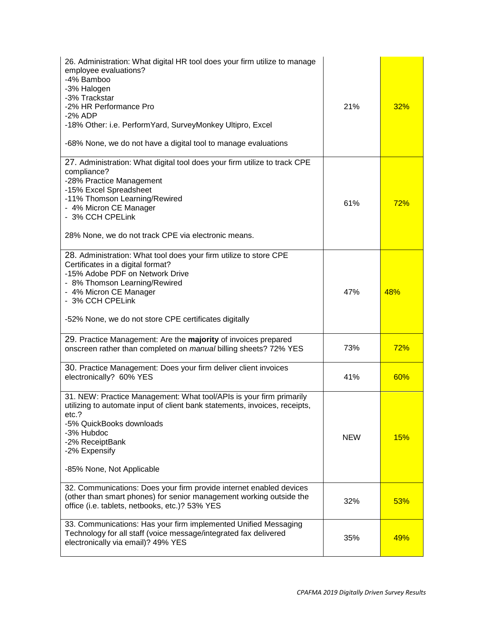| 26. Administration: What digital HR tool does your firm utilize to manage<br>employee evaluations?<br>-4% Bamboo<br>-3% Halogen<br>-3% Trackstar<br>-2% HR Performance Pro<br>-2% ADP<br>-18% Other: i.e. Perform Yard, SurveyMonkey Ultipro, Excel<br>-68% None, we do not have a digital tool to manage evaluations | 21%        | 32%        |
|-----------------------------------------------------------------------------------------------------------------------------------------------------------------------------------------------------------------------------------------------------------------------------------------------------------------------|------------|------------|
| 27. Administration: What digital tool does your firm utilize to track CPE<br>compliance?<br>-28% Practice Management<br>-15% Excel Spreadsheet<br>-11% Thomson Learning/Rewired<br>- 4% Micron CE Manager<br>- 3% CCH CPELink<br>28% None, we do not track CPE via electronic means.                                  | 61%        | 72%        |
| 28. Administration: What tool does your firm utilize to store CPE<br>Certificates in a digital format?<br>-15% Adobe PDF on Network Drive<br>- 8% Thomson Learning/Rewired<br>- 4% Micron CE Manager<br>- 3% CCH CPELink<br>-52% None, we do not store CPE certificates digitally                                     | 47%        | 48%        |
| 29. Practice Management: Are the majority of invoices prepared<br>onscreen rather than completed on manual billing sheets? 72% YES                                                                                                                                                                                    | 73%        | 72%        |
| 30. Practice Management: Does your firm deliver client invoices<br>electronically? 60% YES                                                                                                                                                                                                                            | 41%        | 60%        |
| 31. NEW: Practice Management: What tool/APIs is your firm primarily<br>utilizing to automate input of client bank statements, invoices, receipts,<br>etc.?<br>-5% QuickBooks downloads<br>-3% Hubdoc<br>-2% ReceiptBank<br>-2% Expensify<br>-85% None, Not Applicable                                                 | <b>NEW</b> | <b>15%</b> |
| 32. Communications: Does your firm provide internet enabled devices<br>(other than smart phones) for senior management working outside the<br>office (i.e. tablets, netbooks, etc.)? 53% YES                                                                                                                          | 32%        | 53%        |
| 33. Communications: Has your firm implemented Unified Messaging<br>Technology for all staff (voice message/integrated fax delivered<br>electronically via email)? 49% YES                                                                                                                                             | 35%        | 49%        |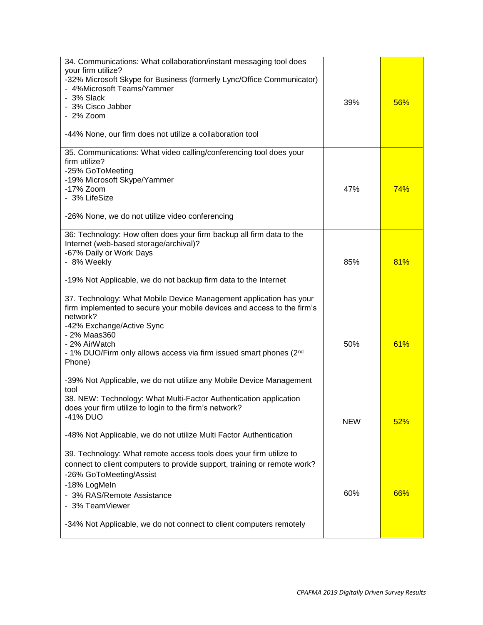| 34. Communications: What collaboration/instant messaging tool does<br>your firm utilize?<br>-32% Microsoft Skype for Business (formerly Lync/Office Communicator)<br>- 4%Microsoft Teams/Yammer<br>- 3% Slack<br>- 3% Cisco Jabber<br>$-2\%$ Zoom<br>-44% None, our firm does not utilize a collaboration tool                                                                         | 39%        | 56% |
|----------------------------------------------------------------------------------------------------------------------------------------------------------------------------------------------------------------------------------------------------------------------------------------------------------------------------------------------------------------------------------------|------------|-----|
| 35. Communications: What video calling/conferencing tool does your<br>firm utilize?<br>-25% GoToMeeting<br>-19% Microsoft Skype/Yammer<br>-17% Zoom<br>- 3% LifeSize<br>-26% None, we do not utilize video conferencing                                                                                                                                                                | 47%        | 74% |
| 36: Technology: How often does your firm backup all firm data to the<br>Internet (web-based storage/archival)?<br>-67% Daily or Work Days<br>- 8% Weekly<br>-19% Not Applicable, we do not backup firm data to the Internet                                                                                                                                                            | 85%        | 81% |
| 37. Technology: What Mobile Device Management application has your<br>firm implemented to secure your mobile devices and access to the firm's<br>network?<br>-42% Exchange/Active Sync<br>- 2% Maas360<br>- 2% AirWatch<br>- 1% DUO/Firm only allows access via firm issued smart phones (2nd<br>Phone)<br>-39% Not Applicable, we do not utilize any Mobile Device Management<br>tool | 50%        | 61% |
| 38. NEW: Technology: What Multi-Factor Authentication application<br>does your firm utilize to login to the firm's network?<br>-41% DUO<br>-48% Not Applicable, we do not utilize Multi Factor Authentication                                                                                                                                                                          | <b>NEW</b> | 52% |
| 39. Technology: What remote access tools does your firm utilize to<br>connect to client computers to provide support, training or remote work?<br>-26% GoToMeeting/Assist<br>-18% LogMeIn<br>- 3% RAS/Remote Assistance<br>- 3% TeamViewer<br>-34% Not Applicable, we do not connect to client computers remotely                                                                      | 60%        | 66% |